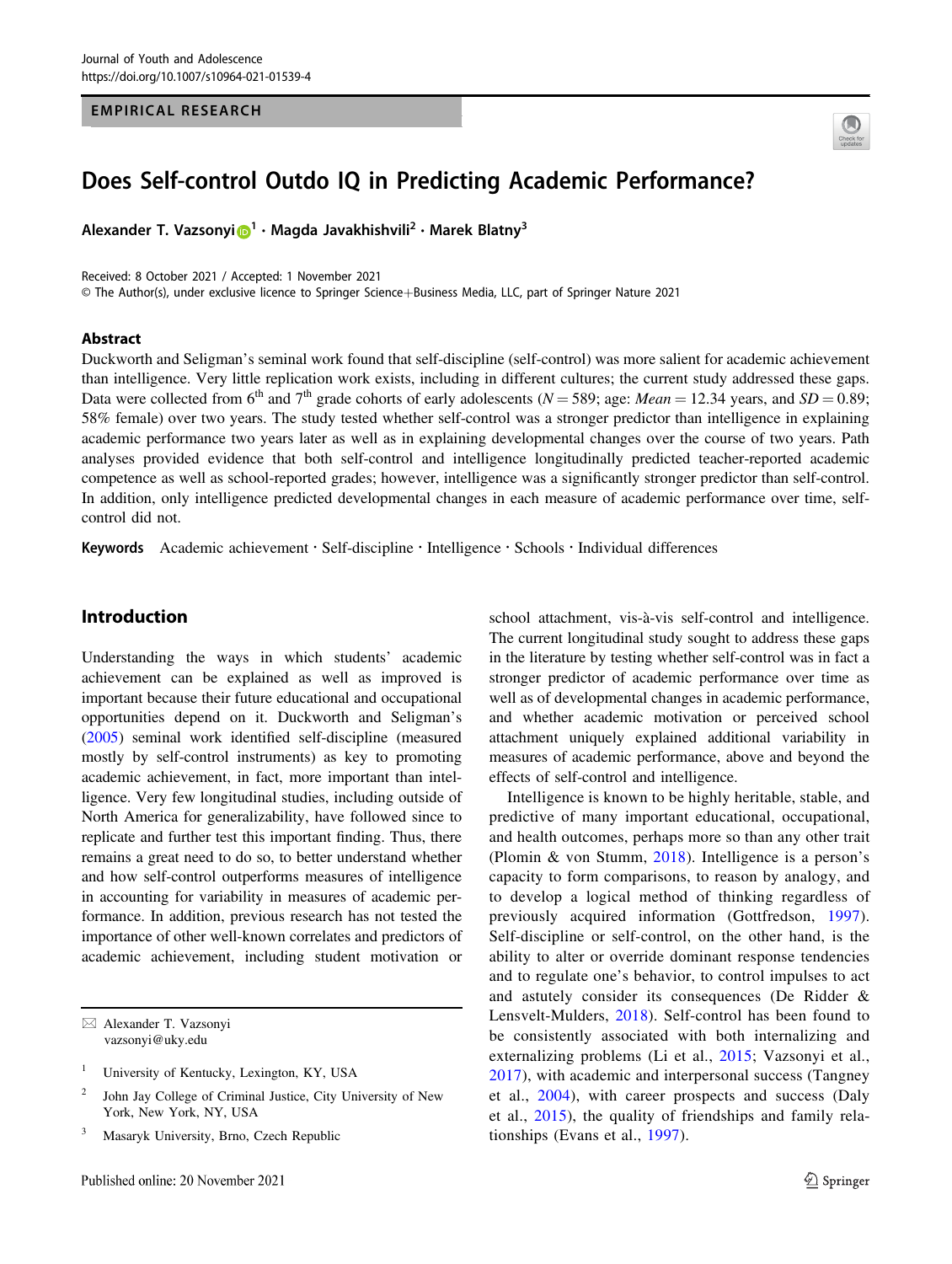#### EMPIRICAL RESEARCH



# Does Self-control Outdo IQ in Predicting Academic Performance?

Alexander T. Vazsony[i](http://orcid.org/0000-0001-7163-1705)  $\mathbf{D}^1 \cdot \mathbf{M}$  $\mathbf{D}^1 \cdot \mathbf{M}$  $\mathbf{D}^1 \cdot \mathbf{M}$ agda Javakhishvili<sup>2</sup> • Marek Blatny<sup>3</sup>

Received: 8 October 2021 / Accepted: 1 November 2021 © The Author(s), under exclusive licence to Springer Science+Business Media, LLC, part of Springer Nature 2021

#### Abstract

Duckworth and Seligman's seminal work found that self-discipline (self-control) was more salient for academic achievement than intelligence. Very little replication work exists, including in different cultures; the current study addressed these gaps. Data were collected from 6<sup>th</sup> and 7<sup>th</sup> grade cohorts of early adolescents (N = 589; age: Mean = 12.34 years, and SD = 0.89; 58% female) over two years. The study tested whether self-control was a stronger predictor than intelligence in explaining academic performance two years later as well as in explaining developmental changes over the course of two years. Path analyses provided evidence that both self-control and intelligence longitudinally predicted teacher-reported academic competence as well as school-reported grades; however, intelligence was a significantly stronger predictor than self-control. In addition, only intelligence predicted developmental changes in each measure of academic performance over time, selfcontrol did not.

Keywords Academic achievement · Self-discipline · Intelligence · Schools · Individual differences

# Introduction

Understanding the ways in which students' academic achievement can be explained as well as improved is important because their future educational and occupational opportunities depend on it. Duckworth and Seligman's [\(2005](#page-8-0)) seminal work identified self-discipline (measured mostly by self-control instruments) as key to promoting academic achievement, in fact, more important than intelligence. Very few longitudinal studies, including outside of North America for generalizability, have followed since to replicate and further test this important finding. Thus, there remains a great need to do so, to better understand whether and how self-control outperforms measures of intelligence in accounting for variability in measures of academic performance. In addition, previous research has not tested the importance of other well-known correlates and predictors of academic achievement, including student motivation or

 $\boxtimes$  Alexander T. Vazsonyi [vazsonyi@uky.edu](mailto:vazsonyi@uky.edu)

school attachment, vis-à-vis self-control and intelligence. The current longitudinal study sought to address these gaps in the literature by testing whether self-control was in fact a stronger predictor of academic performance over time as well as of developmental changes in academic performance, and whether academic motivation or perceived school attachment uniquely explained additional variability in measures of academic performance, above and beyond the effects of self-control and intelligence.

Intelligence is known to be highly heritable, stable, and predictive of many important educational, occupational, and health outcomes, perhaps more so than any other trait (Plomin & von Stumm, [2018](#page-9-0)). Intelligence is a person's capacity to form comparisons, to reason by analogy, and to develop a logical method of thinking regardless of previously acquired information (Gottfredson, [1997](#page-9-0)). Self-discipline or self-control, on the other hand, is the ability to alter or override dominant response tendencies and to regulate one's behavior, to control impulses to act and astutely consider its consequences (De Ridder & Lensvelt-Mulders, [2018\)](#page-9-0). Self-control has been found to be consistently associated with both internalizing and externalizing problems (Li et al., [2015;](#page-9-0) Vazsonyi et al., [2017\)](#page-9-0), with academic and interpersonal success (Tangney et al., [2004](#page-9-0)), with career prospects and success (Daly et al., [2015\)](#page-8-0), the quality of friendships and family relationships (Evans et al., [1997](#page-8-0)).

University of Kentucky, Lexington, KY, USA

<sup>2</sup> John Jay College of Criminal Justice, City University of New York, New York, NY, USA

<sup>3</sup> Masaryk University, Brno, Czech Republic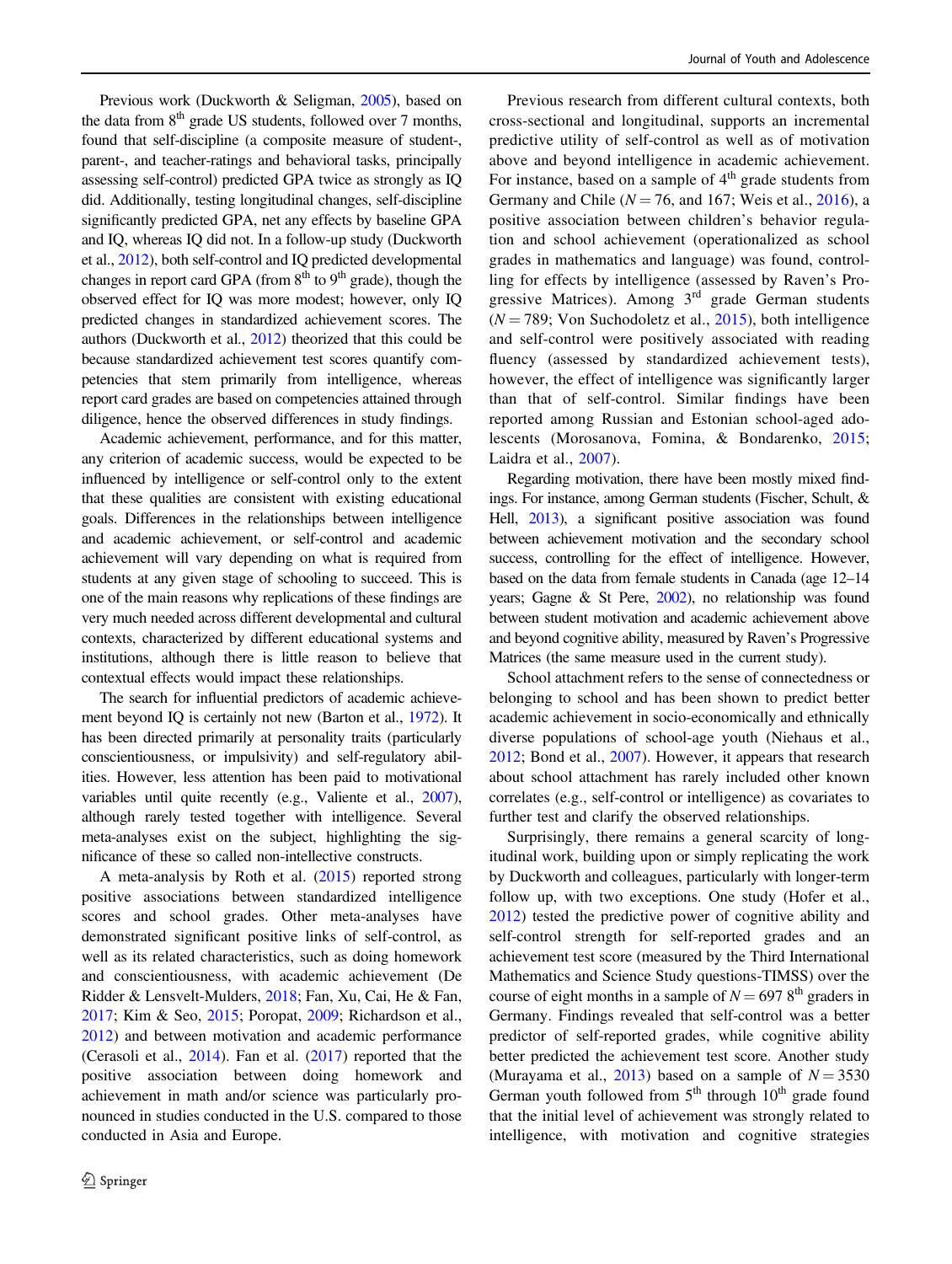Previous work (Duckworth & Seligman, [2005\)](#page-8-0), based on the data from  $8<sup>th</sup>$  grade US students, followed over 7 months, found that self-discipline (a composite measure of student-, parent-, and teacher-ratings and behavioral tasks, principally assessing self-control) predicted GPA twice as strongly as IQ did. Additionally, testing longitudinal changes, self-discipline significantly predicted GPA, net any effects by baseline GPA and IQ, whereas IQ did not. In a follow-up study (Duckworth et al., [2012](#page-8-0)), both self-control and IQ predicted developmental changes in report card GPA (from  $8<sup>th</sup>$  to  $9<sup>th</sup>$  grade), though the observed effect for IQ was more modest; however, only IQ predicted changes in standardized achievement scores. The authors (Duckworth et al., [2012](#page-8-0)) theorized that this could be because standardized achievement test scores quantify competencies that stem primarily from intelligence, whereas report card grades are based on competencies attained through diligence, hence the observed differences in study findings.

Academic achievement, performance, and for this matter, any criterion of academic success, would be expected to be influenced by intelligence or self-control only to the extent that these qualities are consistent with existing educational goals. Differences in the relationships between intelligence and academic achievement, or self-control and academic achievement will vary depending on what is required from students at any given stage of schooling to succeed. This is one of the main reasons why replications of these findings are very much needed across different developmental and cultural contexts, characterized by different educational systems and institutions, although there is little reason to believe that contextual effects would impact these relationships.

The search for influential predictors of academic achievement beyond IQ is certainly not new (Barton et al., [1972\)](#page-8-0). It has been directed primarily at personality traits (particularly conscientiousness, or impulsivity) and self-regulatory abilities. However, less attention has been paid to motivational variables until quite recently (e.g., Valiente et al., [2007\)](#page-9-0), although rarely tested together with intelligence. Several meta-analyses exist on the subject, highlighting the significance of these so called non-intellective constructs.

A meta-analysis by Roth et al. ([2015](#page-9-0)) reported strong positive associations between standardized intelligence scores and school grades. Other meta-analyses have demonstrated significant positive links of self-control, as well as its related characteristics, such as doing homework and conscientiousness, with academic achievement (De Ridder & Lensvelt-Mulders, [2018](#page-9-0); Fan, Xu, Cai, He & Fan, [2017;](#page-8-0) Kim & Seo, [2015;](#page-9-0) Poropat, [2009](#page-9-0); Richardson et al., [2012\)](#page-9-0) and between motivation and academic performance (Cerasoli et al., [2014](#page-8-0)). Fan et al. [\(2017](#page-8-0)) reported that the positive association between doing homework and achievement in math and/or science was particularly pronounced in studies conducted in the U.S. compared to those conducted in Asia and Europe.

Previous research from different cultural contexts, both cross-sectional and longitudinal, supports an incremental predictive utility of self-control as well as of motivation above and beyond intelligence in academic achievement. For instance, based on a sample of  $4<sup>th</sup>$  grade students from Germany and Chile ( $N = 76$ , and 167; Weis et al., [2016](#page-9-0)), a positive association between children's behavior regulation and school achievement (operationalized as school grades in mathematics and language) was found, controlling for effects by intelligence (assessed by Raven's Progressive Matrices). Among  $3<sup>rd</sup>$  grade German students  $(N = 789;$  Von Suchodoletz et al.,  $2015$ ), both intelligence and self-control were positively associated with reading fluency (assessed by standardized achievement tests), however, the effect of intelligence was significantly larger than that of self-control. Similar findings have been reported among Russian and Estonian school-aged adolescents (Morosanova, Fomina, & Bondarenko, [2015;](#page-9-0) Laidra et al., [2007](#page-9-0)).

Regarding motivation, there have been mostly mixed findings. For instance, among German students (Fischer, Schult, & Hell, [2013\)](#page-9-0), a significant positive association was found between achievement motivation and the secondary school success, controlling for the effect of intelligence. However, based on the data from female students in Canada (age 12–14 years; Gagne & St Pere, [2002\)](#page-9-0), no relationship was found between student motivation and academic achievement above and beyond cognitive ability, measured by Raven's Progressive Matrices (the same measure used in the current study).

School attachment refers to the sense of connectedness or belonging to school and has been shown to predict better academic achievement in socio-economically and ethnically diverse populations of school-age youth (Niehaus et al., [2012](#page-9-0); Bond et al., [2007\)](#page-8-0). However, it appears that research about school attachment has rarely included other known correlates (e.g., self-control or intelligence) as covariates to further test and clarify the observed relationships.

Surprisingly, there remains a general scarcity of longitudinal work, building upon or simply replicating the work by Duckworth and colleagues, particularly with longer-term follow up, with two exceptions. One study (Hofer et al., [2012](#page-9-0)) tested the predictive power of cognitive ability and self-control strength for self-reported grades and an achievement test score (measured by the Third International Mathematics and Science Study questions-TIMSS) over the course of eight months in a sample of  $N = 6978^{\text{th}}$  graders in Germany. Findings revealed that self-control was a better predictor of self-reported grades, while cognitive ability better predicted the achievement test score. Another study (Murayama et al., [2013](#page-9-0)) based on a sample of  $N = 3530$ German youth followed from  $5<sup>th</sup>$  through  $10<sup>th</sup>$  grade found that the initial level of achievement was strongly related to intelligence, with motivation and cognitive strategies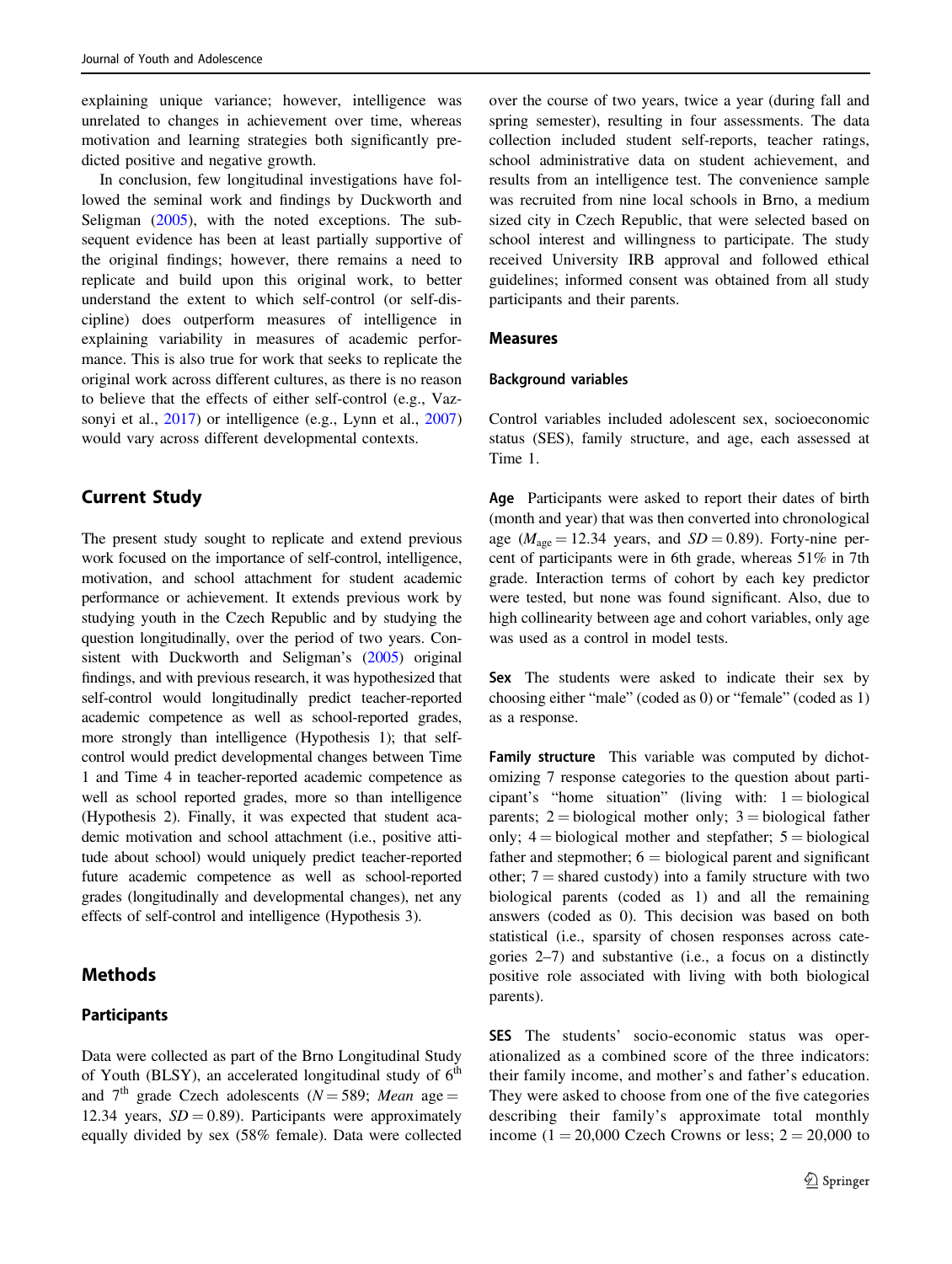explaining unique variance; however, intelligence was unrelated to changes in achievement over time, whereas motivation and learning strategies both significantly predicted positive and negative growth.

In conclusion, few longitudinal investigations have followed the seminal work and findings by Duckworth and Seligman ([2005\)](#page-8-0), with the noted exceptions. The subsequent evidence has been at least partially supportive of the original findings; however, there remains a need to replicate and build upon this original work, to better understand the extent to which self-control (or self-discipline) does outperform measures of intelligence in explaining variability in measures of academic performance. This is also true for work that seeks to replicate the original work across different cultures, as there is no reason to believe that the effects of either self-control (e.g., Vaz-sonyi et al., [2017\)](#page-9-0) or intelligence (e.g., Lynn et al., [2007\)](#page-9-0) would vary across different developmental contexts.

## Current Study

The present study sought to replicate and extend previous work focused on the importance of self-control, intelligence, motivation, and school attachment for student academic performance or achievement. It extends previous work by studying youth in the Czech Republic and by studying the question longitudinally, over the period of two years. Consistent with Duckworth and Seligman's [\(2005](#page-8-0)) original findings, and with previous research, it was hypothesized that self-control would longitudinally predict teacher-reported academic competence as well as school-reported grades, more strongly than intelligence (Hypothesis 1); that selfcontrol would predict developmental changes between Time 1 and Time 4 in teacher-reported academic competence as well as school reported grades, more so than intelligence (Hypothesis 2). Finally, it was expected that student academic motivation and school attachment (i.e., positive attitude about school) would uniquely predict teacher-reported future academic competence as well as school-reported grades (longitudinally and developmental changes), net any effects of self-control and intelligence (Hypothesis 3).

# **Methods**

#### **Participants**

Data were collected as part of the Brno Longitudinal Study of Youth (BLSY), an accelerated longitudinal study of  $6<sup>th</sup>$ and 7<sup>th</sup> grade Czech adolescents ( $N = 589$ ; Mean age = 12.34 years,  $SD = 0.89$ ). Participants were approximately equally divided by sex (58% female). Data were collected over the course of two years, twice a year (during fall and spring semester), resulting in four assessments. The data collection included student self-reports, teacher ratings, school administrative data on student achievement, and results from an intelligence test. The convenience sample was recruited from nine local schools in Brno, a medium sized city in Czech Republic, that were selected based on school interest and willingness to participate. The study received University IRB approval and followed ethical guidelines; informed consent was obtained from all study participants and their parents.

#### Measures

#### Background variables

Control variables included adolescent sex, socioeconomic status (SES), family structure, and age, each assessed at Time 1.

Age Participants were asked to report their dates of birth (month and year) that was then converted into chronological age ( $M_{\text{age}} = 12.34$  years, and  $SD = 0.89$ ). Forty-nine percent of participants were in 6th grade, whereas 51% in 7th grade. Interaction terms of cohort by each key predictor were tested, but none was found significant. Also, due to high collinearity between age and cohort variables, only age was used as a control in model tests.

Sex The students were asked to indicate their sex by choosing either "male" (coded as 0) or "female" (coded as 1) as a response.

Family structure This variable was computed by dichotomizing 7 response categories to the question about participant's "home situation" (living with:  $1 = biological$ parents;  $2 = biological$  mother only;  $3 = biological$  father only;  $4 = \text{biological mother}$  and stepfather;  $5 = \text{biological}$ father and stepmother;  $6 = biological parent$  and significant other;  $7 =$  shared custody) into a family structure with two biological parents (coded as 1) and all the remaining answers (coded as 0). This decision was based on both statistical (i.e., sparsity of chosen responses across categories 2–7) and substantive (i.e., a focus on a distinctly positive role associated with living with both biological parents).

SES The students' socio-economic status was operationalized as a combined score of the three indicators: their family income, and mother's and father's education. They were asked to choose from one of the five categories describing their family's approximate total monthly income (1 = 20,000 Czech Crowns or less;  $2 = 20,000$  to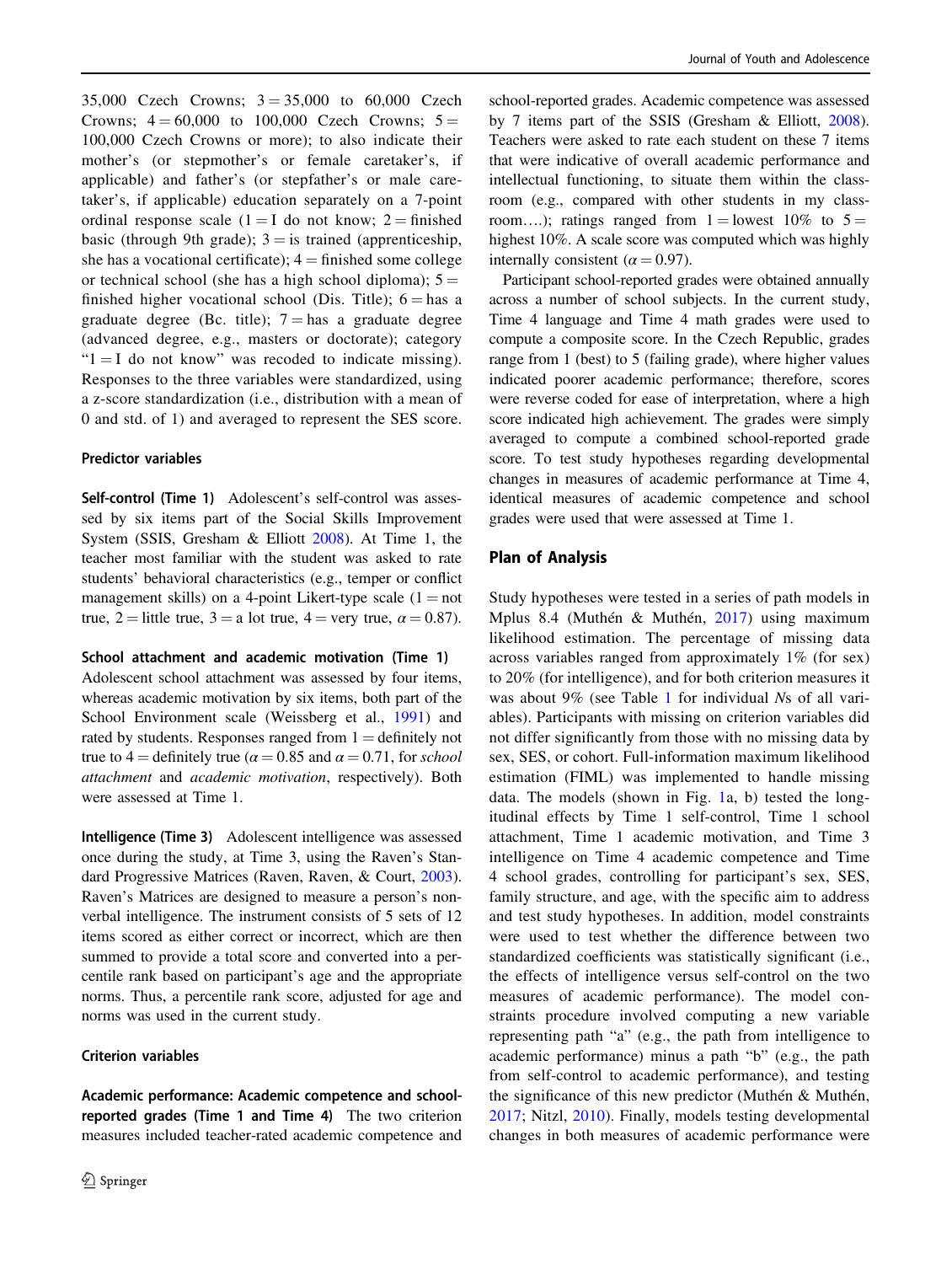35,000 Czech Crowns;  $3 = 35,000$  to 60,000 Czech Crowns;  $4 = 60,000$  to 100,000 Czech Crowns;  $5 =$ 100,000 Czech Crowns or more); to also indicate their mother's (or stepmother's or female caretaker's, if applicable) and father's (or stepfather's or male caretaker's, if applicable) education separately on a 7-point ordinal response scale  $(1 = I$  do not know;  $2 = \text{finished}$ basic (through 9th grade);  $3 =$  is trained (apprenticeship, she has a vocational certificate);  $4 =$  finished some college or technical school (she has a high school diploma);  $5 =$ finished higher vocational school (Dis. Title);  $6 =$  has a graduate degree (Bc. title);  $7 =$  has a graduate degree (advanced degree, e.g., masters or doctorate); category " $1 = I$  do not know" was recoded to indicate missing). Responses to the three variables were standardized, using a z-score standardization (i.e., distribution with a mean of 0 and std. of 1) and averaged to represent the SES score.

#### Predictor variables

Self-control (Time 1) Adolescent's self-control was assessed by six items part of the Social Skills Improvement System (SSIS, Gresham & Elliott [2008\)](#page-9-0). At Time 1, the teacher most familiar with the student was asked to rate students' behavioral characteristics (e.g., temper or conflict management skills) on a 4-point Likert-type scale  $(1 = not$ true, 2 = little true, 3 = a lot true, 4 = very true,  $\alpha$  = 0.87).

#### School attachment and academic motivation (Time 1)

Adolescent school attachment was assessed by four items, whereas academic motivation by six items, both part of the School Environment scale (Weissberg et al., [1991](#page-9-0)) and rated by students. Responses ranged from  $1 =$  definitely not true to 4 = definitely true ( $\alpha$  = 0.85 and  $\alpha$  = 0.71, for school attachment and academic motivation, respectively). Both were assessed at Time 1.

Intelligence (Time 3) Adolescent intelligence was assessed once during the study, at Time 3, using the Raven's Standard Progressive Matrices (Raven, Raven, & Court, [2003](#page-9-0)). Raven's Matrices are designed to measure a person's nonverbal intelligence. The instrument consists of 5 sets of 12 items scored as either correct or incorrect, which are then summed to provide a total score and converted into a percentile rank based on participant's age and the appropriate norms. Thus, a percentile rank score, adjusted for age and norms was used in the current study.

#### Criterion variables

Academic performance: Academic competence and schoolreported grades (Time 1 and Time 4) The two criterion measures included teacher-rated academic competence and

school-reported grades. Academic competence was assessed by 7 items part of the SSIS (Gresham & Elliott, [2008\)](#page-9-0). Teachers were asked to rate each student on these 7 items that were indicative of overall academic performance and intellectual functioning, to situate them within the classroom (e.g., compared with other students in my classroom....); ratings ranged from  $1 =$  lowest 10% to  $5 =$ highest 10%. A scale score was computed which was highly internally consistent ( $\alpha$  = 0.97).

Participant school-reported grades were obtained annually across a number of school subjects. In the current study, Time 4 language and Time 4 math grades were used to compute a composite score. In the Czech Republic, grades range from 1 (best) to 5 (failing grade), where higher values indicated poorer academic performance; therefore, scores were reverse coded for ease of interpretation, where a high score indicated high achievement. The grades were simply averaged to compute a combined school-reported grade score. To test study hypotheses regarding developmental changes in measures of academic performance at Time 4, identical measures of academic competence and school grades were used that were assessed at Time 1.

## Plan of Analysis

Study hypotheses were tested in a series of path models in Mplus 8.4 (Muthén & Muthén, [2017\)](#page-9-0) using maximum likelihood estimation. The percentage of missing data across variables ranged from approximately 1% (for sex) to 20% (for intelligence), and for both criterion measures it was about 9% (see Table [1](#page-4-0) for individual Ns of all variables). Participants with missing on criterion variables did not differ significantly from those with no missing data by sex, SES, or cohort. Full-information maximum likelihood estimation (FIML) was implemented to handle missing data. The models (shown in Fig. [1a](#page-4-0), b) tested the longitudinal effects by Time 1 self-control, Time 1 school attachment, Time 1 academic motivation, and Time 3 intelligence on Time 4 academic competence and Time 4 school grades, controlling for participant's sex, SES, family structure, and age, with the specific aim to address and test study hypotheses. In addition, model constraints were used to test whether the difference between two standardized coefficients was statistically significant (i.e., the effects of intelligence versus self-control on the two measures of academic performance). The model constraints procedure involved computing a new variable representing path "a" (e.g., the path from intelligence to academic performance) minus a path "b" (e.g., the path from self-control to academic performance), and testing the significance of this new predictor (Muthén & Muthén, [2017](#page-9-0); Nitzl, [2010\)](#page-9-0). Finally, models testing developmental changes in both measures of academic performance were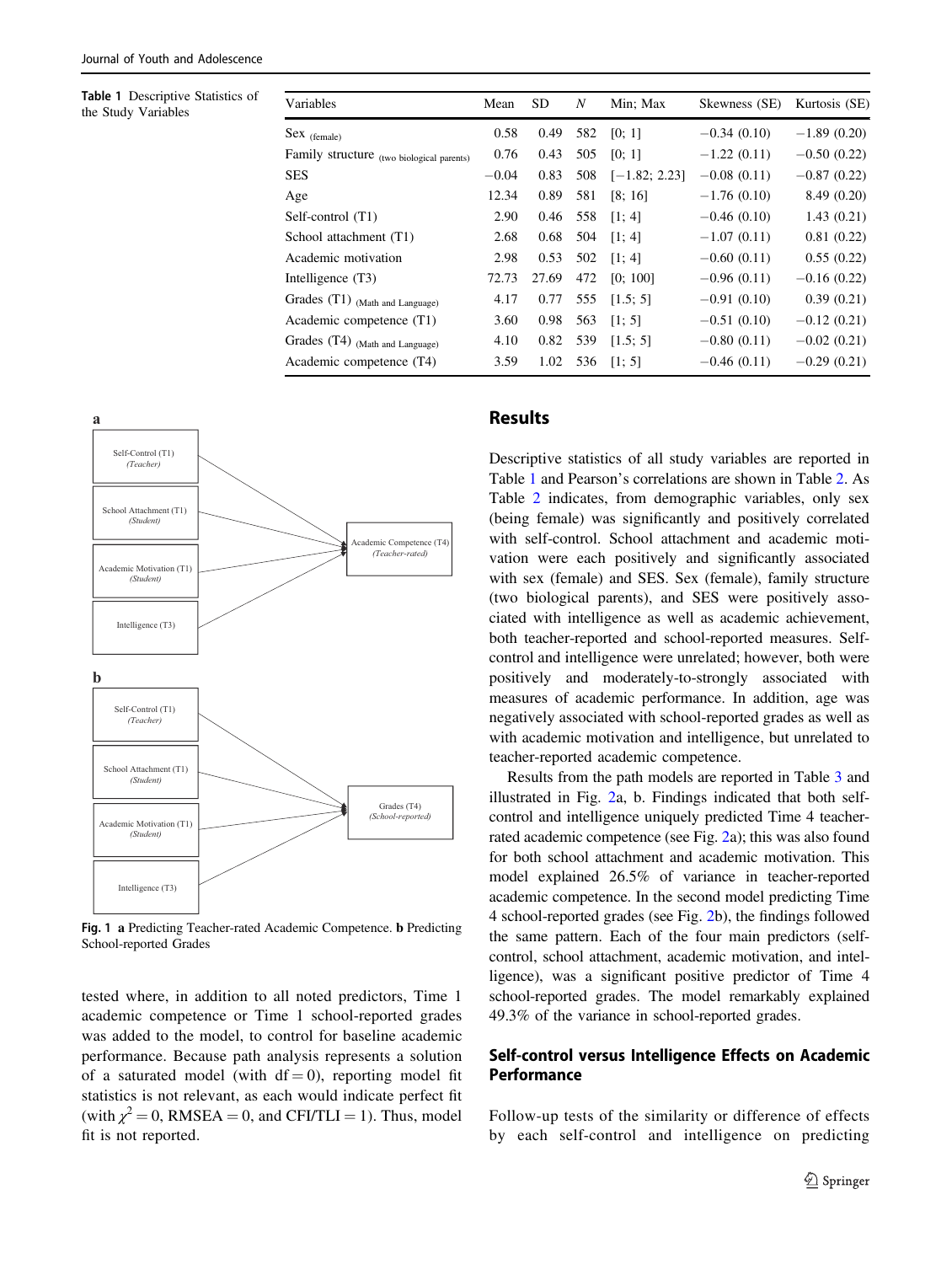<span id="page-4-0"></span>

| Table 1 Descriptive Statistics of<br>the Study Variables | Variables                                 | Mean    | <b>SD</b> | N   | Min; Max        | Skewness (SE) | Kurtosis (SE) |
|----------------------------------------------------------|-------------------------------------------|---------|-----------|-----|-----------------|---------------|---------------|
|                                                          | $Sex$ (female)                            | 0.58    | 0.49      | 582 | [0; 1]          | $-0.34(0.10)$ | $-1.89(0.20)$ |
|                                                          | Family structure (two biological parents) | 0.76    | 0.43      | 505 | [0; 1]          | $-1.22(0.11)$ | $-0.50(0.22)$ |
|                                                          | <b>SES</b>                                | $-0.04$ | 0.83      | 508 | $[-1.82; 2.23]$ | $-0.08(0.11)$ | $-0.87(0.22)$ |
|                                                          | Age                                       | 12.34   | 0.89      | 581 | [8; 16]         | $-1.76(0.10)$ | 8.49(0.20)    |
|                                                          | Self-control (T1)                         | 2.90    | 0.46      | 558 | [1; 4]          | $-0.46(0.10)$ | 1.43(0.21)    |
|                                                          | School attachment (T1)                    | 2.68    | 0.68      | 504 | [1; 4]          | $-1.07(0.11)$ | 0.81(0.22)    |
|                                                          | Academic motivation                       | 2.98    | 0.53      | 502 | [1; 4]          | $-0.60(0.11)$ | 0.55(0.22)    |
|                                                          | Intelligence (T3)                         | 72.73   | 27.69     | 472 | [0; 100]        | $-0.96(0.11)$ | $-0.16(0.22)$ |
|                                                          | Grades (T1) (Math and Language)           | 4.17    | 0.77      | 555 | [1.5; 5]        | $-0.91(0.10)$ | 0.39(0.21)    |
|                                                          | Academic competence (T1)                  | 3.60    | 0.98      | 563 | [1; 5]          | $-0.51(0.10)$ | $-0.12(0.21)$ |
|                                                          | Grades (T4) (Math and Language)           | 4.10    | 0.82      | 539 | [1.5; 5]        | $-0.80(0.11)$ | $-0.02(0.21)$ |
|                                                          | Academic competence (T4)                  | 3.59    | 1.02      | 536 | [1; 5]          | $-0.46(0.11)$ | $-0.29(0.21)$ |
|                                                          |                                           |         |           |     |                 |               |               |



Fig. 1 a Predicting Teacher-rated Academic Competence. b Predicting School-reported Grades

tested where, in addition to all noted predictors, Time 1 academic competence or Time 1 school-reported grades was added to the model, to control for baseline academic performance. Because path analysis represents a solution of a saturated model (with  $df = 0$ ), reporting model fit statistics is not relevant, as each would indicate perfect fit (with  $\chi^2 = 0$ , RMSEA = 0, and CFI/TLI = 1). Thus, model fit is not reported.

# Results

Descriptive statistics of all study variables are reported in Table 1 and Pearson's correlations are shown in Table [2](#page-5-0). As Table [2](#page-5-0) indicates, from demographic variables, only sex (being female) was significantly and positively correlated with self-control. School attachment and academic motivation were each positively and significantly associated with sex (female) and SES. Sex (female), family structure (two biological parents), and SES were positively associated with intelligence as well as academic achievement, both teacher-reported and school-reported measures. Selfcontrol and intelligence were unrelated; however, both were positively and moderately-to-strongly associated with measures of academic performance. In addition, age was negatively associated with school-reported grades as well as with academic motivation and intelligence, but unrelated to teacher-reported academic competence.

Results from the path models are reported in Table [3](#page-5-0) and illustrated in Fig. [2a](#page-6-0), b. Findings indicated that both selfcontrol and intelligence uniquely predicted Time 4 teacherrated academic competence (see Fig. [2a](#page-6-0)); this was also found for both school attachment and academic motivation. This model explained 26.5% of variance in teacher-reported academic competence. In the second model predicting Time 4 school-reported grades (see Fig. [2](#page-6-0)b), the findings followed the same pattern. Each of the four main predictors (selfcontrol, school attachment, academic motivation, and intelligence), was a significant positive predictor of Time 4 school-reported grades. The model remarkably explained 49.3% of the variance in school-reported grades.

## Self-control versus Intelligence Effects on Academic **Performance**

Follow-up tests of the similarity or difference of effects by each self-control and intelligence on predicting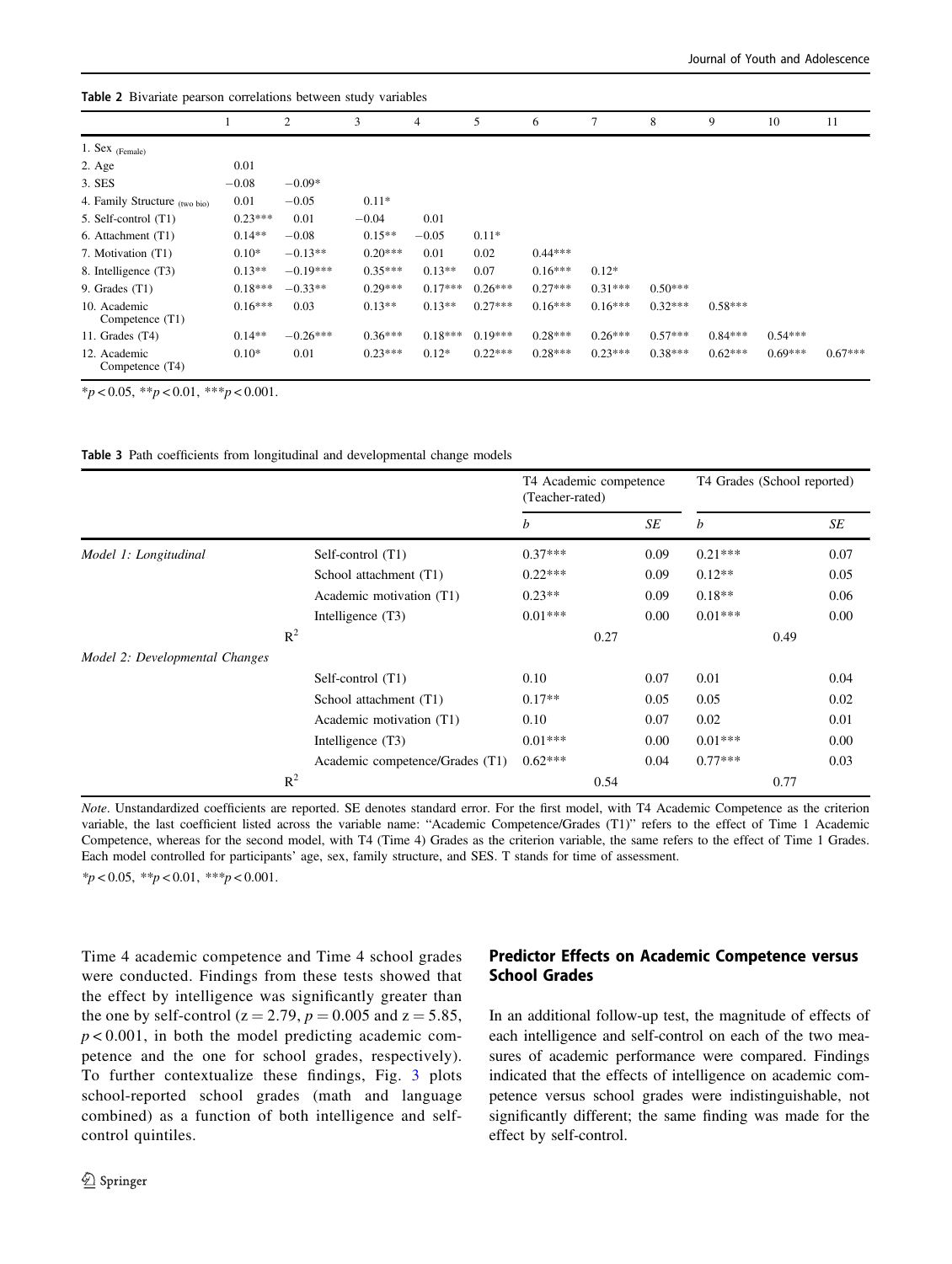| <b>rable 2</b> Divariate pearson correlations between study variables |           |            |           |           |           |           |           |           |           |           |           |
|-----------------------------------------------------------------------|-----------|------------|-----------|-----------|-----------|-----------|-----------|-----------|-----------|-----------|-----------|
|                                                                       |           | 2          | 3         | 4         | 5         | 6         | 7         | 8         | 9         | 10        | 11        |
| 1. Sex $_{(Female)}$                                                  |           |            |           |           |           |           |           |           |           |           |           |
| 2. Age                                                                | 0.01      |            |           |           |           |           |           |           |           |           |           |
| 3. SES                                                                | $-0.08$   | $-0.09*$   |           |           |           |           |           |           |           |           |           |
| 4. Family Structure (two bio)                                         | 0.01      | $-0.05$    | $0.11*$   |           |           |           |           |           |           |           |           |
| 5. Self-control (T1)                                                  | $0.23***$ | 0.01       | $-0.04$   | 0.01      |           |           |           |           |           |           |           |
| 6. Attachment (T1)                                                    | $0.14**$  | $-0.08$    | $0.15**$  | $-0.05$   | $0.11*$   |           |           |           |           |           |           |
| 7. Motivation (T1)                                                    | $0.10*$   | $-0.13**$  | $0.20***$ | 0.01      | 0.02      | $0.44***$ |           |           |           |           |           |
| 8. Intelligence (T3)                                                  | $0.13**$  | $-0.19***$ | $0.35***$ | $0.13**$  | 0.07      | $0.16***$ | $0.12*$   |           |           |           |           |
| 9. Grades $(T1)$                                                      | $0.18***$ | $-0.33**$  | $0.29***$ | $0.17***$ | $0.26***$ | $0.27***$ | $0.31***$ | $0.50***$ |           |           |           |
| 10. Academic<br>Competence (T1)                                       | $0.16***$ | 0.03       | $0.13**$  | $0.13**$  | $0.27***$ | $0.16***$ | $0.16***$ | $0.32***$ | $0.58***$ |           |           |
| 11. Grades $(T4)$                                                     | $0.14**$  | $-0.26***$ | $0.36***$ | $0.18***$ | $0.19***$ | $0.28***$ | $0.26***$ | $0.57***$ | $0.84***$ | $0.54***$ |           |
| 12. Academic<br>Competence (T4)                                       | $0.10*$   | 0.01       | $0.23***$ | $0.12*$   | $0.22***$ | $0.28***$ | $0.23***$ | $0.38***$ | $0.62***$ | $0.69***$ | $0.67***$ |

 $*_{p}$  < 0.05,  $*_{p}$  < 0.01,  $*_{p}$  < 0.001.

Table 3 Path coefficients from longitudinal and developmental change models

<span id="page-5-0"></span>Table 2 Bivariate pearson correlations between study variables

|                                |                |                                 | T4 Academic competence<br>(Teacher-rated) |      |      | T4 Grades (School reported) |      |      |
|--------------------------------|----------------|---------------------------------|-------------------------------------------|------|------|-----------------------------|------|------|
|                                |                |                                 | b                                         |      | SE   | b                           |      | SE   |
| Model 1: Longitudinal          |                | Self-control (T1)               | $0.37***$                                 |      | 0.09 | $0.21***$                   |      | 0.07 |
|                                |                | School attachment (T1)          | $0.22***$                                 |      | 0.09 | $0.12**$                    |      | 0.05 |
|                                |                | Academic motivation (T1)        | $0.23**$                                  |      | 0.09 | $0.18**$                    |      | 0.06 |
|                                |                | Intelligence $(T3)$             | $0.01***$                                 |      | 0.00 | $0.01***$                   |      | 0.00 |
|                                | $R^2$          |                                 |                                           | 0.27 |      |                             | 0.49 |      |
| Model 2: Developmental Changes |                |                                 |                                           |      |      |                             |      |      |
|                                |                | Self-control (T1)               | 0.10                                      |      | 0.07 | 0.01                        |      | 0.04 |
|                                |                | School attachment (T1)          | $0.17**$                                  |      | 0.05 | 0.05                        |      | 0.02 |
|                                |                | Academic motivation (T1)        | 0.10                                      |      | 0.07 | 0.02                        |      | 0.01 |
|                                |                | Intelligence (T3)               | $0.01***$                                 |      | 0.00 | $0.01***$                   |      | 0.00 |
|                                |                | Academic competence/Grades (T1) | $0.62***$                                 |      | 0.04 | $0.77***$                   |      | 0.03 |
|                                | $\mathbb{R}^2$ |                                 |                                           | 0.54 |      |                             | 0.77 |      |

Note. Unstandardized coefficients are reported. SE denotes standard error. For the first model, with T4 Academic Competence as the criterion variable, the last coefficient listed across the variable name: "Academic Competence/Grades (T1)" refers to the effect of Time 1 Academic Competence, whereas for the second model, with T4 (Time 4) Grades as the criterion variable, the same refers to the effect of Time 1 Grades. Each model controlled for participants' age, sex, family structure, and SES. T stands for time of assessment.  $*_{p}$  < 0.05,  $*_{p}$  < 0.01,  $*_{p}$  < 0.001.

Time 4 academic competence and Time 4 school grades were conducted. Findings from these tests showed that the effect by intelligence was significantly greater than the one by self-control ( $z = 2.79$ ,  $p = 0.005$  and  $z = 5.85$ ,  $p < 0.001$ , in both the model predicting academic competence and the one for school grades, respectively). To further contextualize these findings, Fig. [3](#page-6-0) plots school-reported school grades (math and language combined) as a function of both intelligence and selfcontrol quintiles.

# Predictor Effects on Academic Competence versus School Grades

In an additional follow-up test, the magnitude of effects of each intelligence and self-control on each of the two measures of academic performance were compared. Findings indicated that the effects of intelligence on academic competence versus school grades were indistinguishable, not significantly different; the same finding was made for the effect by self-control.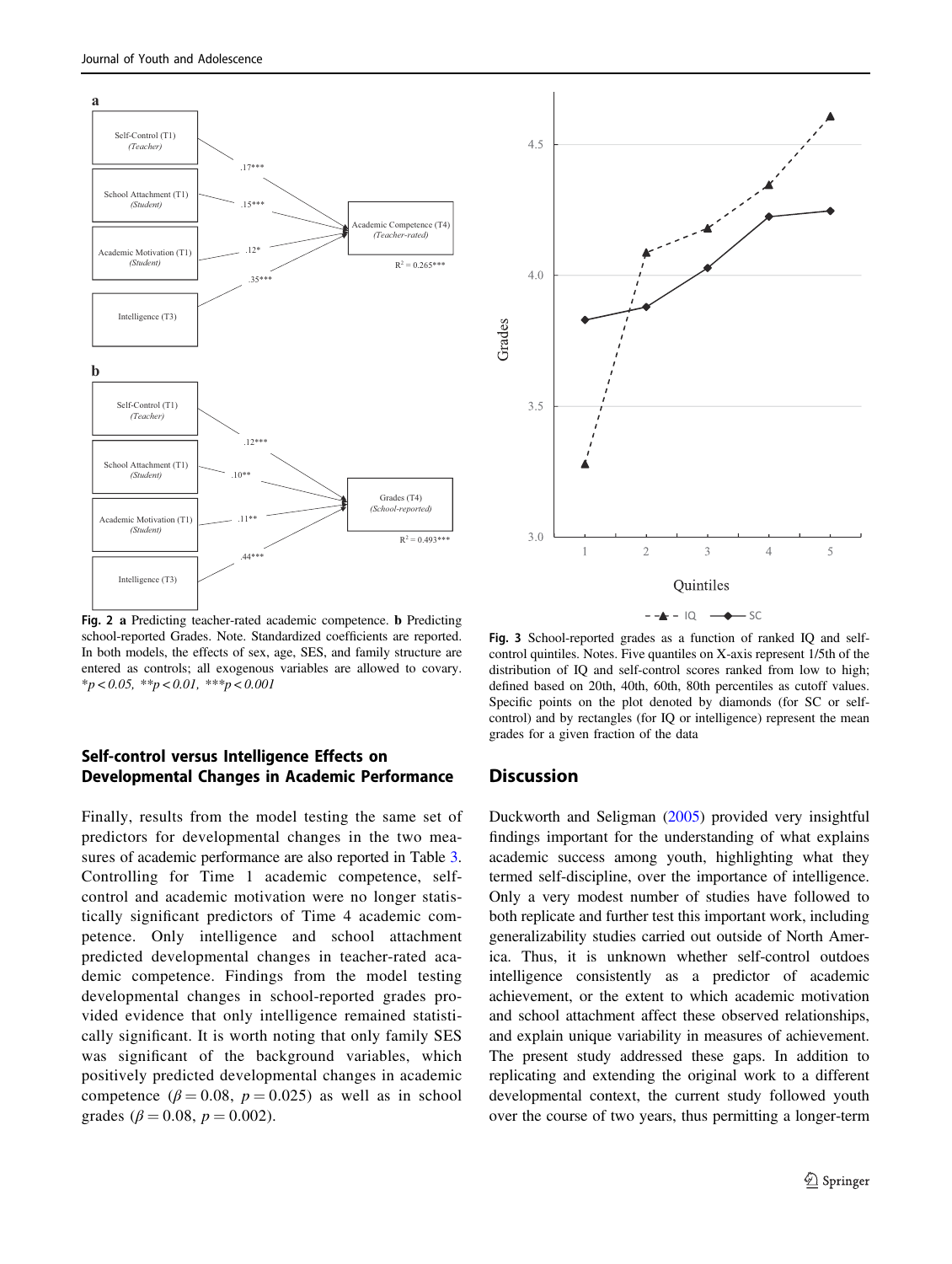<span id="page-6-0"></span>

Fig. 2 a Predicting teacher-rated academic competence. b Predicting school-reported Grades. Note. Standardized coefficients are reported. In both models, the effects of sex, age, SES, and family structure are entered as controls; all exogenous variables are allowed to covary.  $**p* < 0.05, ***p* < 0.01, ***p* < 0.001$ 

## Self-control versus Intelligence Effects on Developmental Changes in Academic Performance

Finally, results from the model testing the same set of predictors for developmental changes in the two measures of academic performance are also reported in Table [3.](#page-5-0) Controlling for Time 1 academic competence, selfcontrol and academic motivation were no longer statistically significant predictors of Time 4 academic competence. Only intelligence and school attachment predicted developmental changes in teacher-rated academic competence. Findings from the model testing developmental changes in school-reported grades provided evidence that only intelligence remained statistically significant. It is worth noting that only family SES was significant of the background variables, which positively predicted developmental changes in academic competence ( $\beta = 0.08$ ,  $p = 0.025$ ) as well as in school grades ( $\beta = 0.08$ ,  $p = 0.002$ ).



Fig. 3 School-reported grades as a function of ranked IQ and selfcontrol quintiles. Notes. Five quantiles on X-axis represent 1/5th of the distribution of IQ and self-control scores ranked from low to high; defined based on 20th, 40th, 60th, 80th percentiles as cutoff values. Specific points on the plot denoted by diamonds (for SC or selfcontrol) and by rectangles (for IQ or intelligence) represent the mean grades for a given fraction of the data

## **Discussion**

Duckworth and Seligman [\(2005](#page-8-0)) provided very insightful findings important for the understanding of what explains academic success among youth, highlighting what they termed self-discipline, over the importance of intelligence. Only a very modest number of studies have followed to both replicate and further test this important work, including generalizability studies carried out outside of North America. Thus, it is unknown whether self-control outdoes intelligence consistently as a predictor of academic achievement, or the extent to which academic motivation and school attachment affect these observed relationships, and explain unique variability in measures of achievement. The present study addressed these gaps. In addition to replicating and extending the original work to a different developmental context, the current study followed youth over the course of two years, thus permitting a longer-term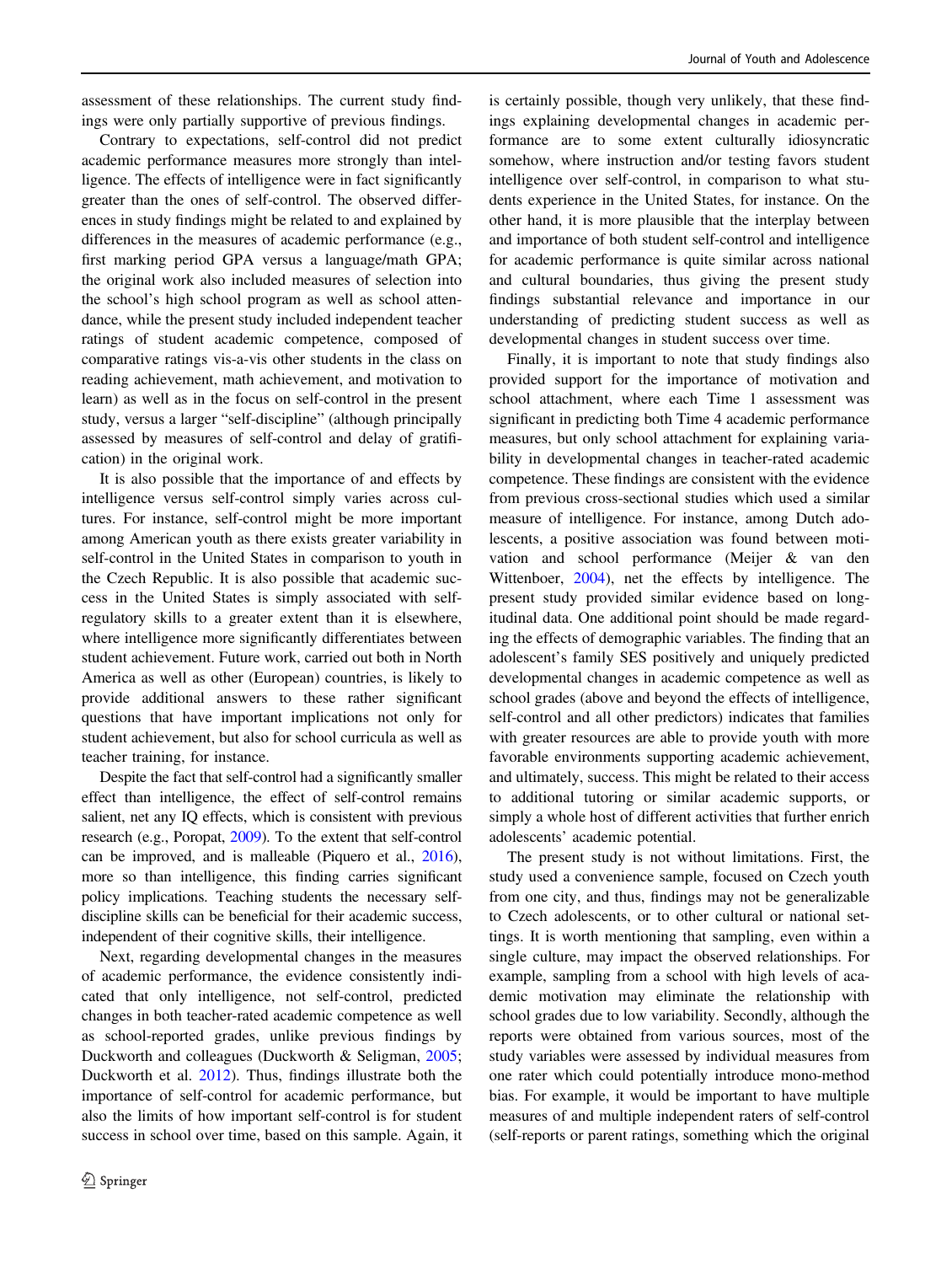assessment of these relationships. The current study findings were only partially supportive of previous findings.

Contrary to expectations, self-control did not predict academic performance measures more strongly than intelligence. The effects of intelligence were in fact significantly greater than the ones of self-control. The observed differences in study findings might be related to and explained by differences in the measures of academic performance (e.g., first marking period GPA versus a language/math GPA; the original work also included measures of selection into the school's high school program as well as school attendance, while the present study included independent teacher ratings of student academic competence, composed of comparative ratings vis-a-vis other students in the class on reading achievement, math achievement, and motivation to learn) as well as in the focus on self-control in the present study, versus a larger "self-discipline" (although principally assessed by measures of self-control and delay of gratification) in the original work.

It is also possible that the importance of and effects by intelligence versus self-control simply varies across cultures. For instance, self-control might be more important among American youth as there exists greater variability in self-control in the United States in comparison to youth in the Czech Republic. It is also possible that academic success in the United States is simply associated with selfregulatory skills to a greater extent than it is elsewhere, where intelligence more significantly differentiates between student achievement. Future work, carried out both in North America as well as other (European) countries, is likely to provide additional answers to these rather significant questions that have important implications not only for student achievement, but also for school curricula as well as teacher training, for instance.

Despite the fact that self-control had a significantly smaller effect than intelligence, the effect of self-control remains salient, net any IQ effects, which is consistent with previous research (e.g., Poropat, [2009\)](#page-9-0). To the extent that self-control can be improved, and is malleable (Piquero et al., [2016\)](#page-9-0), more so than intelligence, this finding carries significant policy implications. Teaching students the necessary selfdiscipline skills can be beneficial for their academic success, independent of their cognitive skills, their intelligence.

Next, regarding developmental changes in the measures of academic performance, the evidence consistently indicated that only intelligence, not self-control, predicted changes in both teacher-rated academic competence as well as school-reported grades, unlike previous findings by Duckworth and colleagues (Duckworth & Seligman, [2005](#page-8-0); Duckworth et al. [2012\)](#page-8-0). Thus, findings illustrate both the importance of self-control for academic performance, but also the limits of how important self-control is for student success in school over time, based on this sample. Again, it

is certainly possible, though very unlikely, that these findings explaining developmental changes in academic performance are to some extent culturally idiosyncratic somehow, where instruction and/or testing favors student intelligence over self-control, in comparison to what students experience in the United States, for instance. On the other hand, it is more plausible that the interplay between and importance of both student self-control and intelligence for academic performance is quite similar across national and cultural boundaries, thus giving the present study findings substantial relevance and importance in our understanding of predicting student success as well as developmental changes in student success over time.

Finally, it is important to note that study findings also provided support for the importance of motivation and school attachment, where each Time 1 assessment was significant in predicting both Time 4 academic performance measures, but only school attachment for explaining variability in developmental changes in teacher-rated academic competence. These findings are consistent with the evidence from previous cross-sectional studies which used a similar measure of intelligence. For instance, among Dutch adolescents, a positive association was found between motivation and school performance (Meijer & van den Wittenboer, [2004\)](#page-9-0), net the effects by intelligence. The present study provided similar evidence based on longitudinal data. One additional point should be made regarding the effects of demographic variables. The finding that an adolescent's family SES positively and uniquely predicted developmental changes in academic competence as well as school grades (above and beyond the effects of intelligence, self-control and all other predictors) indicates that families with greater resources are able to provide youth with more favorable environments supporting academic achievement, and ultimately, success. This might be related to their access to additional tutoring or similar academic supports, or simply a whole host of different activities that further enrich adolescents' academic potential.

The present study is not without limitations. First, the study used a convenience sample, focused on Czech youth from one city, and thus, findings may not be generalizable to Czech adolescents, or to other cultural or national settings. It is worth mentioning that sampling, even within a single culture, may impact the observed relationships. For example, sampling from a school with high levels of academic motivation may eliminate the relationship with school grades due to low variability. Secondly, although the reports were obtained from various sources, most of the study variables were assessed by individual measures from one rater which could potentially introduce mono-method bias. For example, it would be important to have multiple measures of and multiple independent raters of self-control (self-reports or parent ratings, something which the original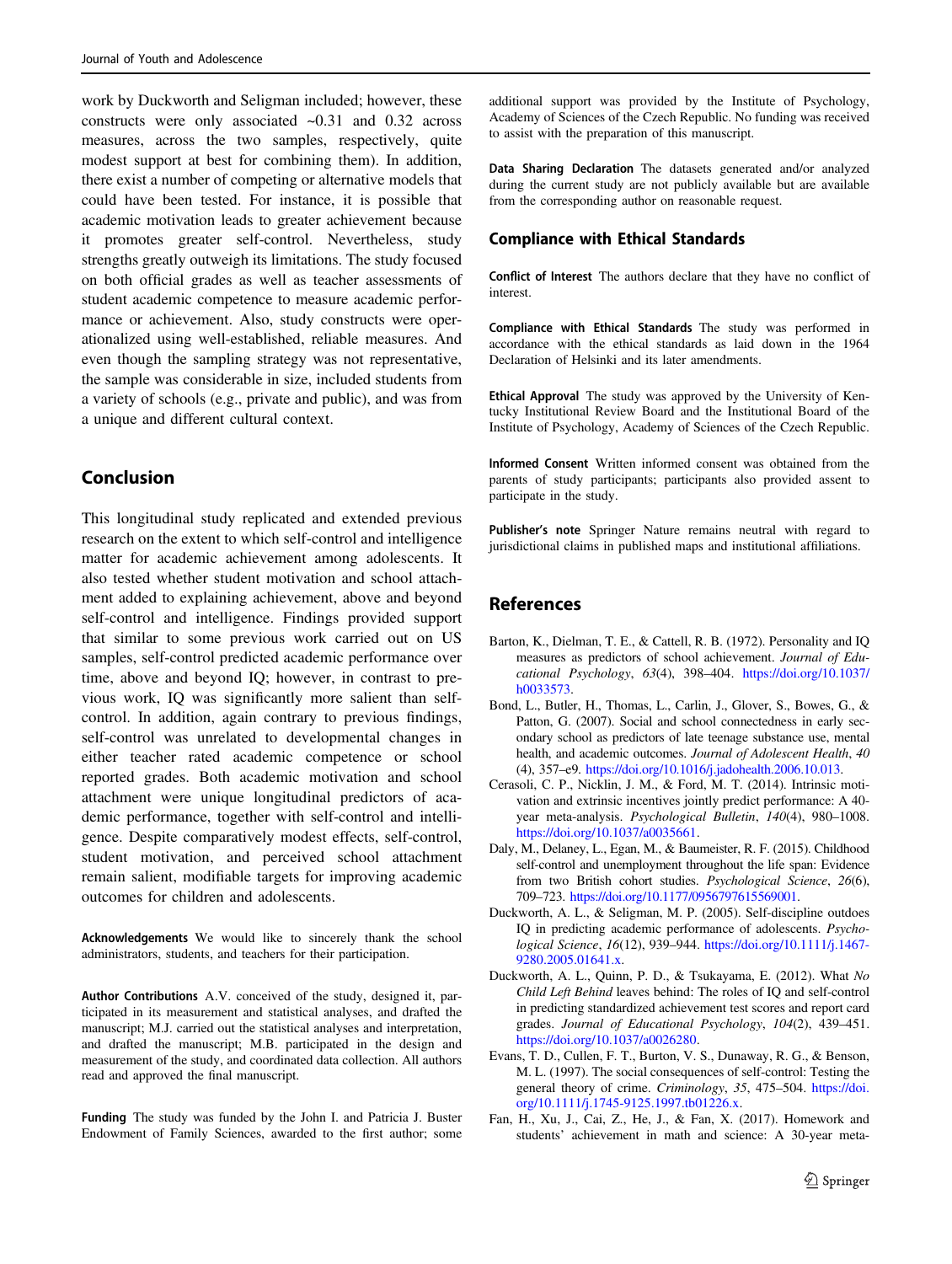<span id="page-8-0"></span>work by Duckworth and Seligman included; however, these constructs were only associated ~0.31 and 0.32 across measures, across the two samples, respectively, quite modest support at best for combining them). In addition, there exist a number of competing or alternative models that could have been tested. For instance, it is possible that academic motivation leads to greater achievement because it promotes greater self-control. Nevertheless, study strengths greatly outweigh its limitations. The study focused on both official grades as well as teacher assessments of student academic competence to measure academic performance or achievement. Also, study constructs were operationalized using well-established, reliable measures. And even though the sampling strategy was not representative, the sample was considerable in size, included students from a variety of schools (e.g., private and public), and was from a unique and different cultural context.

# Conclusion

This longitudinal study replicated and extended previous research on the extent to which self-control and intelligence matter for academic achievement among adolescents. It also tested whether student motivation and school attachment added to explaining achievement, above and beyond self-control and intelligence. Findings provided support that similar to some previous work carried out on US samples, self-control predicted academic performance over time, above and beyond IQ; however, in contrast to previous work, IQ was significantly more salient than selfcontrol. In addition, again contrary to previous findings, self-control was unrelated to developmental changes in either teacher rated academic competence or school reported grades. Both academic motivation and school attachment were unique longitudinal predictors of academic performance, together with self-control and intelligence. Despite comparatively modest effects, self-control, student motivation, and perceived school attachment remain salient, modifiable targets for improving academic outcomes for children and adolescents.

Acknowledgements We would like to sincerely thank the school administrators, students, and teachers for their participation.

Author Contributions A.V. conceived of the study, designed it, participated in its measurement and statistical analyses, and drafted the manuscript; M.J. carried out the statistical analyses and interpretation, and drafted the manuscript; M.B. participated in the design and measurement of the study, and coordinated data collection. All authors read and approved the final manuscript.

Funding The study was funded by the John I. and Patricia J. Buster Endowment of Family Sciences, awarded to the first author; some

additional support was provided by the Institute of Psychology, Academy of Sciences of the Czech Republic. No funding was received to assist with the preparation of this manuscript.

Data Sharing Declaration The datasets generated and/or analyzed during the current study are not publicly available but are available from the corresponding author on reasonable request.

#### Compliance with Ethical Standards

Conflict of Interest The authors declare that they have no conflict of interest.

Compliance with Ethical Standards The study was performed in accordance with the ethical standards as laid down in the 1964 Declaration of Helsinki and its later amendments.

Ethical Approval The study was approved by the University of Kentucky Institutional Review Board and the Institutional Board of the Institute of Psychology, Academy of Sciences of the Czech Republic.

Informed Consent Written informed consent was obtained from the parents of study participants; participants also provided assent to participate in the study.

Publisher's note Springer Nature remains neutral with regard to jurisdictional claims in published maps and institutional affiliations.

## References

- Barton, K., Dielman, T. E., & Cattell, R. B. (1972). Personality and IQ measures as predictors of school achievement. Journal of Educational Psychology, 63(4), 398–404. [https://doi.org/10.1037/](https://doi.org/10.1037/h0033573) [h0033573](https://doi.org/10.1037/h0033573).
- Bond, L., Butler, H., Thomas, L., Carlin, J., Glover, S., Bowes, G., & Patton, G. (2007). Social and school connectedness in early secondary school as predictors of late teenage substance use, mental health, and academic outcomes. Journal of Adolescent Health, 40 (4), 357–e9. [https://doi.org/10.1016/j.jadohealth.2006.10.013.](https://doi.org/10.1016/j.jadohealth.2006.10.013)
- Cerasoli, C. P., Nicklin, J. M., & Ford, M. T. (2014). Intrinsic motivation and extrinsic incentives jointly predict performance: A 40 year meta-analysis. Psychological Bulletin, 140(4), 980–1008. [https://doi.org/10.1037/a0035661.](https://doi.org/10.1037/a0035661)
- Daly, M., Delaney, L., Egan, M., & Baumeister, R. F. (2015). Childhood self-control and unemployment throughout the life span: Evidence from two British cohort studies. Psychological Science, 26(6), 709–723. [https://doi.org/10.1177/0956797615569001.](https://doi.org/10.1177/0956797615569001)
- Duckworth, A. L., & Seligman, M. P. (2005). Self-discipline outdoes IQ in predicting academic performance of adolescents. Psychological Science, 16(12), 939–944. [https://doi.org/10.1111/j.1467-](https://doi.org/10.1111/j.1467-9280.2005.01641.x) [9280.2005.01641.x.](https://doi.org/10.1111/j.1467-9280.2005.01641.x)
- Duckworth, A. L., Quinn, P. D., & Tsukayama, E. (2012). What No Child Left Behind leaves behind: The roles of IQ and self-control in predicting standardized achievement test scores and report card grades. Journal of Educational Psychology, 104(2), 439–451. [https://doi.org/10.1037/a0026280.](https://doi.org/10.1037/a0026280)
- Evans, T. D., Cullen, F. T., Burton, V. S., Dunaway, R. G., & Benson, M. L. (1997). The social consequences of self‐control: Testing the general theory of crime. Criminology, 35, 475–504. [https://doi.](https://doi.org/10.1111/j.1745-9125.1997.tb01226.x) [org/10.1111/j.1745-9125.1997.tb01226.x.](https://doi.org/10.1111/j.1745-9125.1997.tb01226.x)
- Fan, H., Xu, J., Cai, Z., He, J., & Fan, X. (2017). Homework and students' achievement in math and science: A 30-year meta-